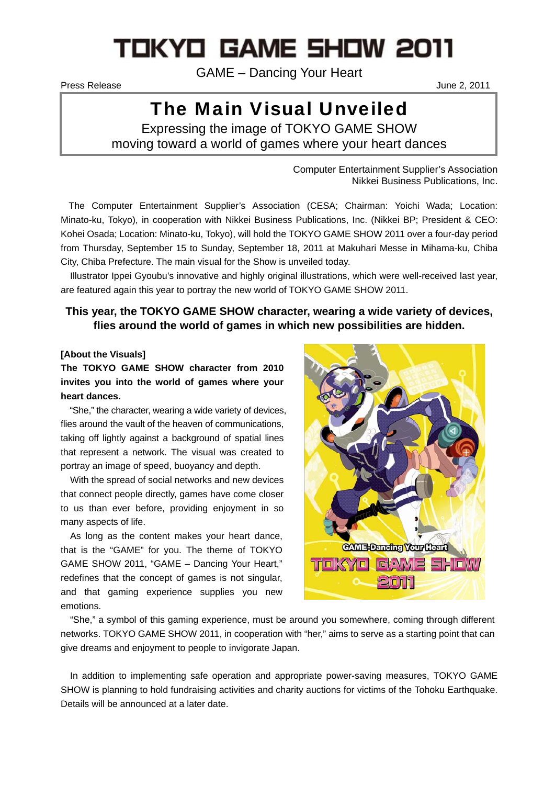# TOKYO GAME SHOW 2011

GAME – Dancing Your Heart

Press Release June 2, 2011

## The Main Visual Unveiled

Expressing the image of TOKYO GAME SHOW moving toward a world of games where your heart dances

> Computer Entertainment Supplier's Association Nikkei Business Publications, Inc.

The Computer Entertainment Supplier's Association (CESA; Chairman: Yoichi Wada; Location: Minato-ku, Tokyo), in cooperation with Nikkei Business Publications, Inc. (Nikkei BP; President & CEO: Kohei Osada; Location: Minato-ku, Tokyo), will hold the TOKYO GAME SHOW 2011 over a four-day period from Thursday, September 15 to Sunday, September 18, 2011 at Makuhari Messe in Mihama-ku, Chiba City, Chiba Prefecture. The main visual for the Show is unveiled today.

Illustrator Ippei Gyoubu's innovative and highly original illustrations, which were well-received last year, are featured again this year to portray the new world of TOKYO GAME SHOW 2011.

### **This year, the TOKYO GAME SHOW character, wearing a wide variety of devices, flies around the world of games in which new possibilities are hidden.**

#### **[About the Visuals]**

**The TOKYO GAME SHOW character from 2010 invites you into the world of games where your heart dances.** 

"She," the character, wearing a wide variety of devices, flies around the vault of the heaven of communications, taking off lightly against a background of spatial lines that represent a network. The visual was created to portray an image of speed, buoyancy and depth.

With the spread of social networks and new devices that connect people directly, games have come closer to us than ever before, providing enjoyment in so many aspects of life.

As long as the content makes your heart dance, that is the "GAME" for you. The theme of TOKYO GAME SHOW 2011, "GAME – Dancing Your Heart," redefines that the concept of games is not singular, and that gaming experience supplies you new emotions.



"She," a symbol of this gaming experience, must be around you somewhere, coming through different networks. TOKYO GAME SHOW 2011, in cooperation with "her," aims to serve as a starting point that can give dreams and enjoyment to people to invigorate Japan.

In addition to implementing safe operation and appropriate power-saving measures, TOKYO GAME SHOW is planning to hold fundraising activities and charity auctions for victims of the Tohoku Earthquake. Details will be announced at a later date.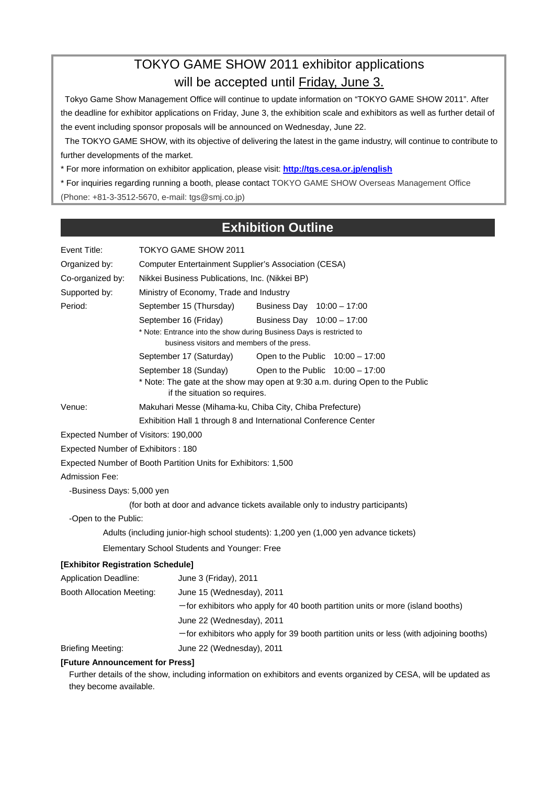## TOKYO GAME SHOW 2011 exhibitor applications will be accepted until Friday, June 3.

 Tokyo Game Show Management Office will continue to update information on "TOKYO GAME SHOW 2011". After the deadline for exhibitor applications on Friday, June 3, the exhibition scale and exhibitors as well as further detail of the event including sponsor proposals will be announced on Wednesday, June 22.

 The TOKYO GAME SHOW, with its objective of delivering the latest in the game industry, will continue to contribute to further developments of the market.

\* For more information on exhibitor application, please visit: **http://tgs.cesa.or.jp/english**

\* For inquiries regarding running a booth, please contact TOKYO GAME SHOW Overseas Management Office

#### (Phone: +81-3-3512-5670, e-mail: tgs@smj.co.jp)

## **Exhibition Outline**

| Event Title:                         | TOKYO GAME SHOW 2011                                                                                                |
|--------------------------------------|---------------------------------------------------------------------------------------------------------------------|
| Organized by:                        | <b>Computer Entertainment Supplier's Association (CESA)</b>                                                         |
| Co-organized by:                     | Nikkei Business Publications, Inc. (Nikkei BP)                                                                      |
| Supported by:                        | Ministry of Economy, Trade and Industry                                                                             |
| Period:                              | September 15 (Thursday)<br>Business Day 10:00 - 17:00                                                               |
|                                      | September 16 (Friday)<br>Business Day 10:00 - 17:00                                                                 |
|                                      | * Note: Entrance into the show during Business Days is restricted to<br>business visitors and members of the press. |
|                                      | September 17 (Saturday)<br>Open to the Public $10:00 - 17:00$                                                       |
|                                      | September 18 (Sunday)<br>Open to the Public $10:00 - 17:00$                                                         |
|                                      | * Note: The gate at the show may open at 9:30 a.m. during Open to the Public<br>if the situation so requires.       |
| Venue:                               | Makuhari Messe (Mihama-ku, Chiba City, Chiba Prefecture)                                                            |
|                                      | Exhibition Hall 1 through 8 and International Conference Center                                                     |
| Expected Number of Visitors: 190,000 |                                                                                                                     |
| Expected Number of Exhibitors: 180   |                                                                                                                     |
|                                      | Expected Number of Booth Partition Units for Exhibitors: 1,500                                                      |
| Admission Fee:                       |                                                                                                                     |
| -Business Days: 5,000 yen            |                                                                                                                     |
|                                      | (for both at door and advance tickets available only to industry participants)                                      |
| -Open to the Public:                 |                                                                                                                     |
|                                      | Adults (including junior-high school students): 1,200 yen (1,000 yen advance tickets)                               |
|                                      | Elementary School Students and Younger: Free                                                                        |
| [Exhibitor Registration Schedule]    |                                                                                                                     |
| <b>Application Deadline:</b>         | June 3 (Friday), 2011                                                                                               |
| Booth Allocation Meeting:            | June 15 (Wednesday), 2011                                                                                           |
|                                      | $-$ for exhibitors who apply for 40 booth partition units or more (island booths)                                   |
|                                      | June 22 (Wednesday), 2011                                                                                           |
|                                      | -for exhibitors who apply for 39 booth partition units or less (with adjoining booths)                              |
| <b>Briefing Meeting:</b>             | June 22 (Wednesday), 2011                                                                                           |
| [Future Announcement for Press]      |                                                                                                                     |
|                                      | Further details of the show, including information on exhibitors and events organized by CESA, will be updated as   |

they become available.